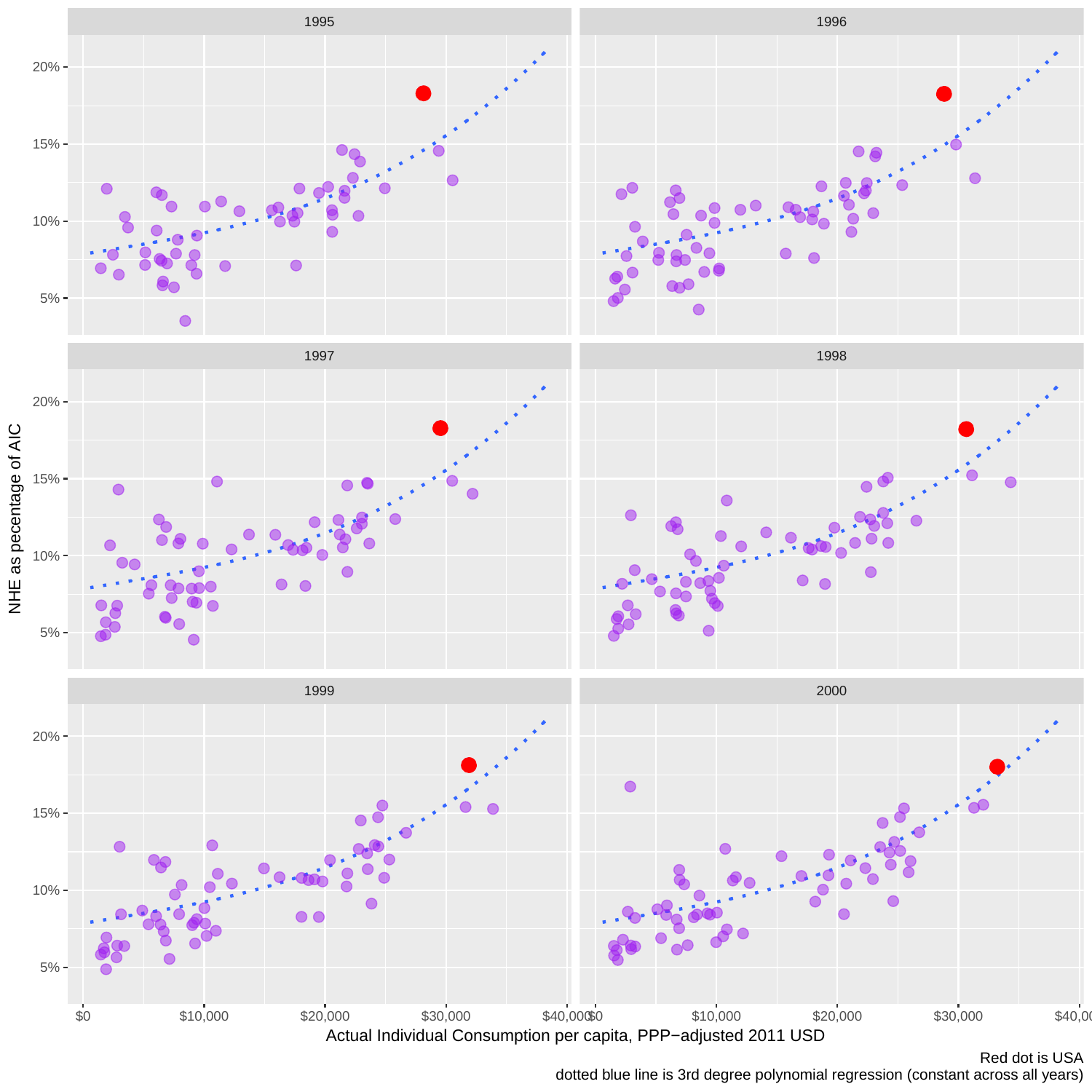

\$0 \$10,000 \$20,000 \$30,000 \$40,000\$0 \$10,000 \$20,000 \$30,000 \$40,000

Actual Individual Consumption per capita, PPP−adjusted 2011 USD

5%

Red dot is USA

dotted blue line is 3rd degree polynomial regression (constant across all years)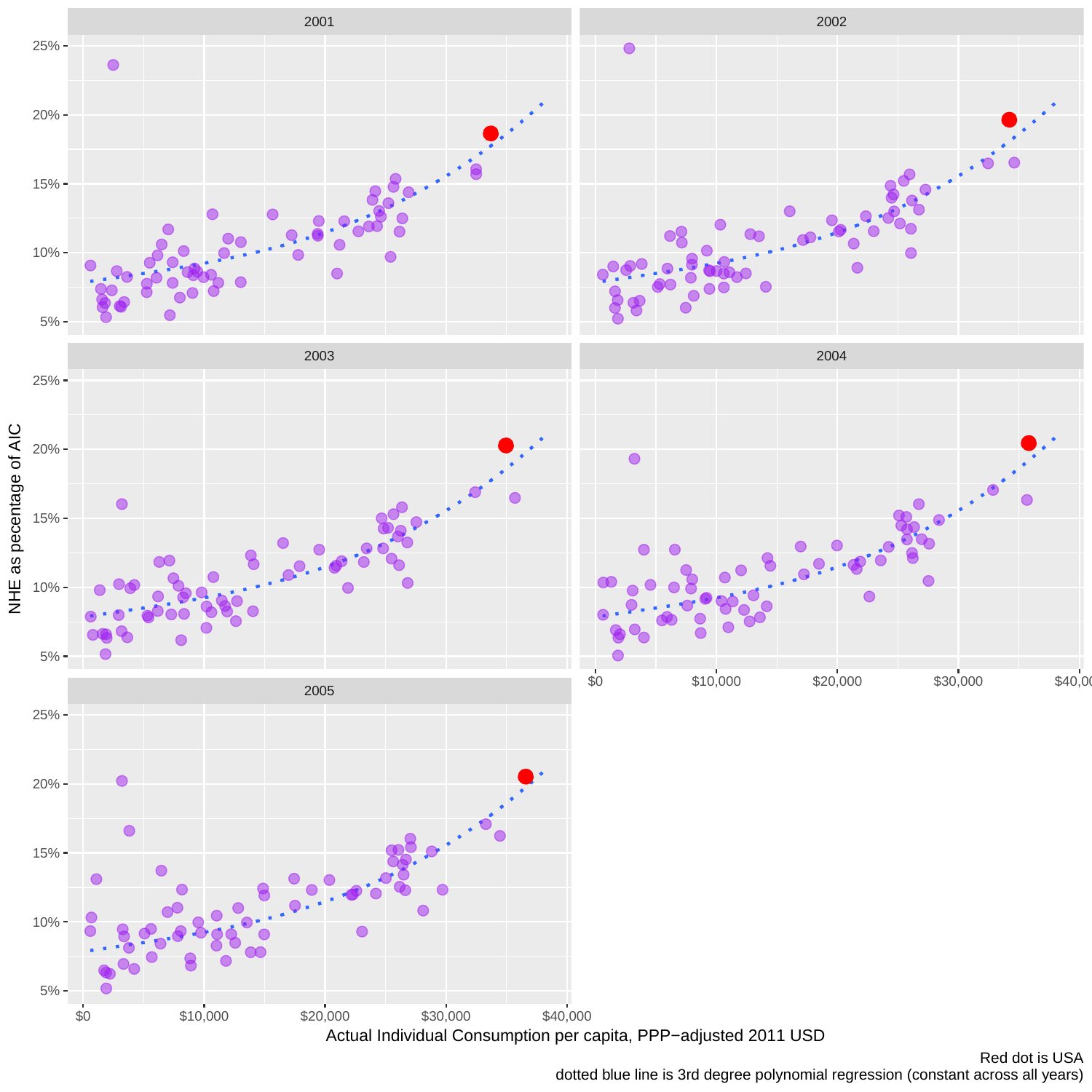









Actual Individual Consumption per capita, PPP−adjusted 2011 USD

Red dot is USA dotted blue line is 3rd degree polynomial regression (constant across all years)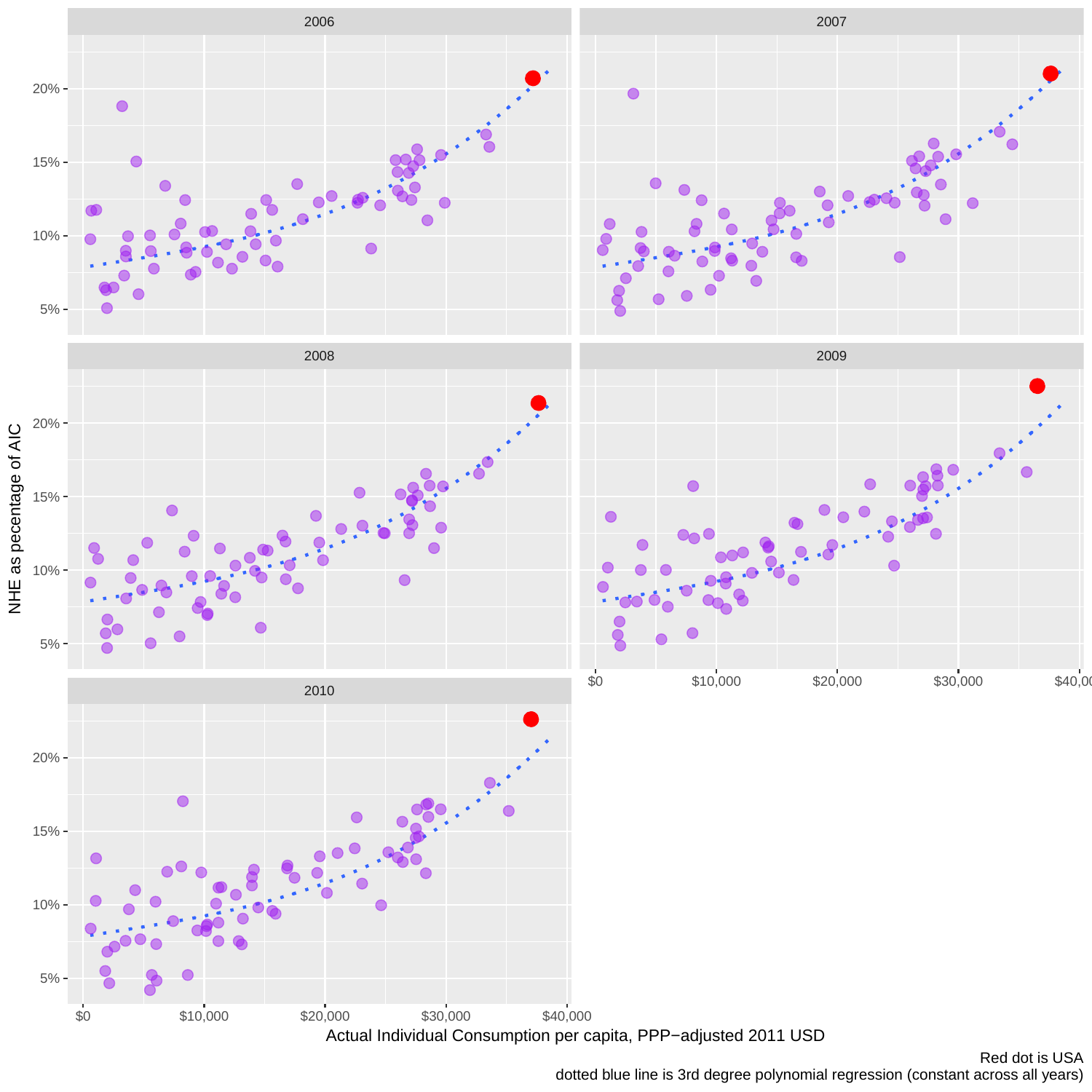